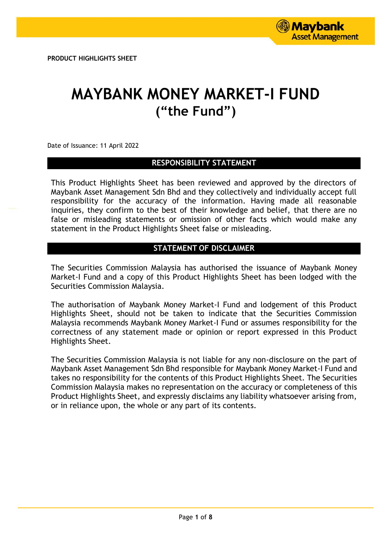# **MAYBANK MONEY MARKET-I FUND ("the Fund")**

Date of Issuance: 11 April 2022

# **RESPONSIBILITY STATEMENT**

This Product Highlights Sheet has been reviewed and approved by the directors of Maybank Asset Management Sdn Bhd and they collectively and individually accept full responsibility for the accuracy of the information. Having made all reasonable inquiries, they confirm to the best of their knowledge and belief, that there are no false or misleading statements or omission of other facts which would make any statement in the Product Highlights Sheet false or misleading.

# **STATEMENT OF DISCLAIMER**

The Securities Commission Malaysia has authorised the issuance of Maybank Money Market-I Fund and a copy of this Product Highlights Sheet has been lodged with the Securities Commission Malaysia.

The authorisation of Maybank Money Market-I Fund and lodgement of this Product Highlights Sheet, should not be taken to indicate that the Securities Commission Malaysia recommends Maybank Money Market-I Fund or assumes responsibility for the correctness of any statement made or opinion or report expressed in this Product Highlights Sheet.

The Securities Commission Malaysia is not liable for any non-disclosure on the part of Maybank Asset Management Sdn Bhd responsible for Maybank Money Market-I Fund and takes no responsibility for the contents of this Product Highlights Sheet. The Securities Commission Malaysia makes no representation on the accuracy or completeness of this Product Highlights Sheet, and expressly disclaims any liability whatsoever arising from, or in reliance upon, the whole or any part of its contents.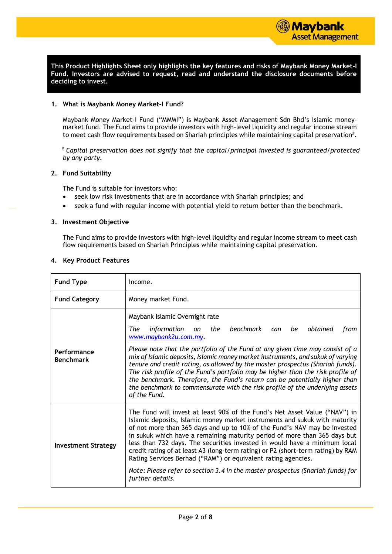

**This Product Highlights Sheet only highlights the key features and risks of Maybank Money Market-I Fund. Investors are advised to request, read and understand the disclosure documents before deciding to invest.**

#### **1. What is Maybank Money Market-I Fund?**

Maybank Money Market-I Fund ("MMMI") is Maybank Asset Management Sdn Bhd's Islamic moneymarket fund. The Fund aims to provide investors with high-level liquidity and regular income stream to meet cash flow requirements based on Shariah principles while maintaining capital preservation $^{\#}.$ 

*# Capital preservation does not signify that the capital/principal invested is guaranteed/protected by any party.*

#### **2. Fund Suitability**

The Fund is suitable for investors who:

- seek low risk investments that are in accordance with Shariah principles; and
- seek a fund with regular income with potential yield to return better than the benchmark.

#### **3. Investment Objective**

The Fund aims to provide investors with high-level liquidity and regular income stream to meet cash flow requirements based on Shariah Principles while maintaining capital preservation.

#### **4. Key Product Features**

| <b>Fund Type</b>                | Income.                                                                                                                                                                                                                                                                                                                                                                                                                                                                                                                                                                                                                                                         |
|---------------------------------|-----------------------------------------------------------------------------------------------------------------------------------------------------------------------------------------------------------------------------------------------------------------------------------------------------------------------------------------------------------------------------------------------------------------------------------------------------------------------------------------------------------------------------------------------------------------------------------------------------------------------------------------------------------------|
| <b>Fund Category</b>            | Money market Fund.                                                                                                                                                                                                                                                                                                                                                                                                                                                                                                                                                                                                                                              |
| Performance<br><b>Benchmark</b> | Maybank Islamic Overnight rate<br>benchmark<br>information<br>The<br>the<br>obtained<br>be<br>on<br>can<br>from<br>www.maybank2u.com.my.<br>Please note that the portfolio of the Fund at any given time may consist of a<br>mix of Islamic deposits, Islamic money market instruments, and sukuk of varying<br>tenure and credit rating, as allowed by the master prospectus (Shariah funds).<br>The risk profile of the Fund's portfolio may be higher than the risk profile of<br>the benchmark. Therefore, the Fund's return can be potentially higher than<br>the benchmark to commensurate with the risk profile of the underlying assets<br>of the Fund. |
| <b>Investment Strategy</b>      | The Fund will invest at least 90% of the Fund's Net Asset Value ("NAV") in<br>Islamic deposits, Islamic money market instruments and sukuk with maturity<br>of not more than 365 days and up to 10% of the Fund's NAV may be invested<br>in sukuk which have a remaining maturity period of more than 365 days but<br>less than 732 days. The securities invested in would have a minimum local<br>credit rating of at least A3 (long-term rating) or P2 (short-term rating) by RAM<br>Rating Services Berhad ("RAM") or equivalent rating agencies.<br>Note: Please refer to section 3.4 in the master prospectus (Shariah funds) for<br>further details.      |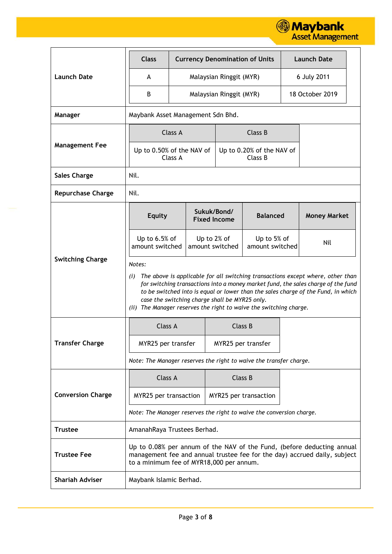

|                          | <b>Class</b>                                                         |                                                                                                                                                                                                                                                                                                                                                                              |                                    |                         | <b>Currency Denomination of Units</b> |  | <b>Launch Date</b>                                                                                                                                  |  |
|--------------------------|----------------------------------------------------------------------|------------------------------------------------------------------------------------------------------------------------------------------------------------------------------------------------------------------------------------------------------------------------------------------------------------------------------------------------------------------------------|------------------------------------|-------------------------|---------------------------------------|--|-----------------------------------------------------------------------------------------------------------------------------------------------------|--|
| <b>Launch Date</b>       | A                                                                    |                                                                                                                                                                                                                                                                                                                                                                              |                                    | Malaysian Ringgit (MYR) |                                       |  | 6 July 2011                                                                                                                                         |  |
|                          | B                                                                    |                                                                                                                                                                                                                                                                                                                                                                              |                                    | Malaysian Ringgit (MYR) |                                       |  | 18 October 2019                                                                                                                                     |  |
| Manager                  |                                                                      | Maybank Asset Management Sdn Bhd.                                                                                                                                                                                                                                                                                                                                            |                                    |                         |                                       |  |                                                                                                                                                     |  |
|                          |                                                                      | Class A                                                                                                                                                                                                                                                                                                                                                                      |                                    |                         | Class B                               |  |                                                                                                                                                     |  |
| <b>Management Fee</b>    | Up to 0.50% of the NAV of                                            | Class A                                                                                                                                                                                                                                                                                                                                                                      |                                    |                         | Up to 0.20% of the NAV of<br>Class B  |  |                                                                                                                                                     |  |
| <b>Sales Charge</b>      | Nil.                                                                 |                                                                                                                                                                                                                                                                                                                                                                              |                                    |                         |                                       |  |                                                                                                                                                     |  |
| <b>Repurchase Charge</b> | Nil.                                                                 |                                                                                                                                                                                                                                                                                                                                                                              |                                    |                         |                                       |  |                                                                                                                                                     |  |
|                          | <b>Equity</b>                                                        |                                                                                                                                                                                                                                                                                                                                                                              | Sukuk/Bond/<br><b>Fixed Income</b> |                         | <b>Balanced</b>                       |  | <b>Money Market</b>                                                                                                                                 |  |
|                          | Up to 6.5% of<br>amount switched                                     |                                                                                                                                                                                                                                                                                                                                                                              | Up to 2% of<br>amount switched     |                         | Up to 5% of<br>amount switched        |  | Nil                                                                                                                                                 |  |
| <b>Switching Charge</b>  | Notes:<br>(i)<br>(ii)                                                | The above is applicable for all switching transactions except where, other than<br>for switching transactions into a money market fund, the sales charge of the fund<br>to be switched into is equal or lower than the sales charge of the Fund, in which<br>case the switching charge shall be MYR25 only.<br>The Manager reserves the right to waive the switching charge. |                                    |                         |                                       |  |                                                                                                                                                     |  |
|                          | Class A                                                              |                                                                                                                                                                                                                                                                                                                                                                              |                                    |                         | Class B                               |  |                                                                                                                                                     |  |
| <b>Transfer Charge</b>   | MYR25 per transfer                                                   |                                                                                                                                                                                                                                                                                                                                                                              |                                    |                         | MYR25 per transfer                    |  |                                                                                                                                                     |  |
|                          | Note: The Manager reserves the right to waive the transfer charge.   |                                                                                                                                                                                                                                                                                                                                                                              |                                    |                         |                                       |  |                                                                                                                                                     |  |
|                          | Class A                                                              |                                                                                                                                                                                                                                                                                                                                                                              |                                    |                         | Class B                               |  |                                                                                                                                                     |  |
| <b>Conversion Charge</b> | MYR25 per transaction                                                |                                                                                                                                                                                                                                                                                                                                                                              |                                    |                         | MYR25 per transaction                 |  |                                                                                                                                                     |  |
|                          | Note: The Manager reserves the right to waive the conversion charge. |                                                                                                                                                                                                                                                                                                                                                                              |                                    |                         |                                       |  |                                                                                                                                                     |  |
| <b>Trustee</b>           | AmanahRaya Trustees Berhad.                                          |                                                                                                                                                                                                                                                                                                                                                                              |                                    |                         |                                       |  |                                                                                                                                                     |  |
| <b>Trustee Fee</b>       | to a minimum fee of MYR18,000 per annum.                             |                                                                                                                                                                                                                                                                                                                                                                              |                                    |                         |                                       |  | Up to 0.08% per annum of the NAV of the Fund, (before deducting annual<br>management fee and annual trustee fee for the day) accrued daily, subject |  |
| <b>Shariah Adviser</b>   | Maybank Islamic Berhad.                                              |                                                                                                                                                                                                                                                                                                                                                                              |                                    |                         |                                       |  |                                                                                                                                                     |  |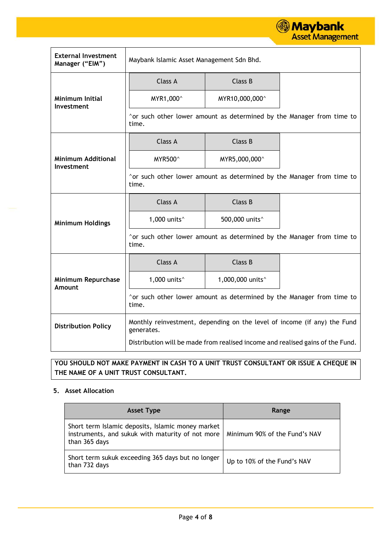

| <b>External Investment</b><br>Manager ("EIM") | Maybank Islamic Asset Management Sdn Bhd.                                      |                              |                                                                          |  |  |  |
|-----------------------------------------------|--------------------------------------------------------------------------------|------------------------------|--------------------------------------------------------------------------|--|--|--|
|                                               | Class A                                                                        | Class B                      |                                                                          |  |  |  |
| <b>Minimum Initial</b><br>Investment          | MYR1,000^                                                                      | MYR10,000,000^               |                                                                          |  |  |  |
|                                               | time.                                                                          |                              | ^or such other lower amount as determined by the Manager from time to    |  |  |  |
|                                               | Class A                                                                        | Class B                      |                                                                          |  |  |  |
| <b>Minimum Additional</b><br>Investment       | <b>MYR500^</b>                                                                 | MYR5,000,000^                |                                                                          |  |  |  |
|                                               | time.                                                                          |                              | ^or such other lower amount as determined by the Manager from time to    |  |  |  |
|                                               | Class A                                                                        | Class B                      |                                                                          |  |  |  |
| <b>Minimum Holdings</b>                       | 1,000 units $\hat{}$                                                           | 500,000 units <sup>^</sup>   |                                                                          |  |  |  |
|                                               | time.                                                                          |                              | ^or such other lower amount as determined by the Manager from time to    |  |  |  |
|                                               | Class A                                                                        | Class B                      |                                                                          |  |  |  |
| Minimum Repurchase<br>Amount                  | 1,000 units $\hat{}$                                                           | 1,000,000 units <sup>^</sup> |                                                                          |  |  |  |
|                                               | time.                                                                          |                              | ^or such other lower amount as determined by the Manager from time to    |  |  |  |
| <b>Distribution Policy</b>                    | generates.                                                                     |                              | Monthly reinvestment, depending on the level of income (if any) the Fund |  |  |  |
|                                               | Distribution will be made from realised income and realised gains of the Fund. |                              |                                                                          |  |  |  |

# **YOU SHOULD NOT MAKE PAYMENT IN CASH TO A UNIT TRUST CONSULTANT OR ISSUE A CHEQUE IN THE NAME OF A UNIT TRUST CONSULTANT.**

# **5. Asset Allocation**

| <b>Asset Type</b>                                                                                                      | Range                         |
|------------------------------------------------------------------------------------------------------------------------|-------------------------------|
| Short term Islamic deposits, Islamic money market<br>instruments, and sukuk with maturity of not more<br>than 365 days | Minimum 90% of the Fund's NAV |
| Short term sukuk exceeding 365 days but no longer<br>than 732 days                                                     | Up to 10% of the Fund's NAV   |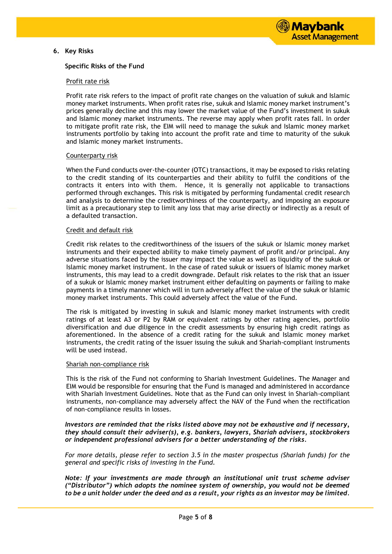

# **6. Key Risks**

#### **Specific Risks of the Fund**

#### Profit rate risk

Profit rate risk refers to the impact of profit rate changes on the valuation of sukuk and Islamic money market instruments. When profit rates rise, sukuk and Islamic money market instrument's prices generally decline and this may lower the market value of the Fund's investment in sukuk and Islamic money market instruments. The reverse may apply when profit rates fall. In order to mitigate profit rate risk, the EIM will need to manage the sukuk and Islamic money market instruments portfolio by taking into account the profit rate and time to maturity of the sukuk and Islamic money market instruments.

#### Counterparty risk

When the Fund conducts over-the-counter (OTC) transactions, it may be exposed to risks relating to the credit standing of its counterparties and their ability to fulfil the conditions of the contracts it enters into with them. Hence, it is generally not applicable to transactions performed through exchanges. This risk is mitigated by performing fundamental credit research and analysis to determine the creditworthiness of the counterparty, and imposing an exposure limit as a precautionary step to limit any loss that may arise directly or indirectly as a result of a defaulted transaction.

#### Credit and default risk

Credit risk relates to the creditworthiness of the issuers of the sukuk or Islamic money market instruments and their expected ability to make timely payment of profit and/or principal. Any adverse situations faced by the issuer may impact the value as well as liquidity of the sukuk or Islamic money market instrument. In the case of rated sukuk or issuers of Islamic money market instruments, this may lead to a credit downgrade. Default risk relates to the risk that an issuer of a sukuk or Islamic money market instrument either defaulting on payments or failing to make payments in a timely manner which will in turn adversely affect the value of the sukuk or Islamic money market instruments. This could adversely affect the value of the Fund.

The risk is mitigated by investing in sukuk and Islamic money market instruments with credit ratings of at least A3 or P2 by RAM or equivalent ratings by other rating agencies, portfolio diversification and due diligence in the credit assessments by ensuring high credit ratings as aforementioned. In the absence of a credit rating for the sukuk and Islamic money market instruments, the credit rating of the issuer issuing the sukuk and Shariah-compliant instruments will be used instead.

#### Shariah non-compliance risk

This is the risk of the Fund not conforming to Shariah Investment Guidelines. The Manager and EIM would be responsible for ensuring that the Fund is managed and administered in accordance with Shariah Investment Guidelines. Note that as the Fund can only invest in Shariah-compliant instruments, non-compliance may adversely affect the NAV of the Fund when the rectification of non-compliance results in losses.

*Investors are reminded that the risks listed above may not be exhaustive and if necessary, they should consult their adviser(s), e.g. bankers, lawyers, Shariah advisers, stockbrokers or independent professional advisers for a better understanding of the risks.*

*For more details, please refer to section 3.5 in the master prospectus (Shariah funds) for the general and specific risks of investing in the Fund.*

*Note: If your investments are made through an institutional unit trust scheme adviser ("Distributor") which adopts the nominee system of ownership, you would not be deemed to be a unit holder under the deed and as a result, your rights as an investor may be limited.*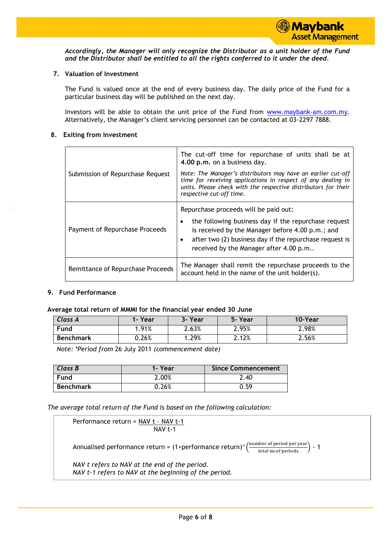

*Accordingly, the Manager will only recognize the Distributor as a unit holder of the Fund and the Distributor shall be entitled to all the rights conferred to it under the deed.*

# **7. Valuation of Investment**

The Fund is valued once at the end of every business day. The daily price of the Fund for a particular business day will be published on the next day.

Investors will be able to obtain the unit price of the Fund from [www.maybank-am.com.](http://www.maybank-am.com/)my. Alternatively, the Manager's client servicing personnel can be contacted at 03-2297 7888.

## **8. Exiting from Investment**

|                                   | The cut-off time for repurchase of units shall be at<br>4.00 p.m. on a business day.                                                                                                                                            |  |  |  |  |
|-----------------------------------|---------------------------------------------------------------------------------------------------------------------------------------------------------------------------------------------------------------------------------|--|--|--|--|
| Submission of Repurchase Request  | Note: The Manager's distributors may have an earlier cut-off<br>time for receiving applications in respect of any dealing in<br>units. Please check with the respective distributors for their<br>respective cut-off time.      |  |  |  |  |
|                                   | Repurchase proceeds will be paid out:                                                                                                                                                                                           |  |  |  |  |
| Payment of Repurchase Proceeds    | the following business day if the repurchase request<br>٠<br>is received by the Manager before 4.00 p.m.; and<br>after two (2) business day if the repurchase request is<br>$\bullet$<br>received by the Manager after 4.00 p.m |  |  |  |  |
| Remittance of Repurchase Proceeds | The Manager shall remit the repurchase proceeds to the<br>account held in the name of the unit holder(s).                                                                                                                       |  |  |  |  |

## **9. Fund Performance**

## **Average total return of MMMI for the financial year ended 30 June**

| <b>Class A</b>   | 1- Year  | 3- Year | 5-Year | 10-Year |
|------------------|----------|---------|--------|---------|
| <b>Fund</b>      | .91%     | 2.63%   | 2.95%  | 2.98%   |
| <b>Benchmark</b> | $0.26\%$ | .29%    | 2.12%  | 2.56%   |

*Note: \*Period from* 26 July 2011 *(commencement date)*

| Class B          | 1-Year | <b>Since Commencement</b> |
|------------------|--------|---------------------------|
| Fund             | 2.00%  | 2.40                      |
| <b>Benchmark</b> | 0.26%  | 0.59                      |

*The average total return of the Fund is based on the following calculation:*

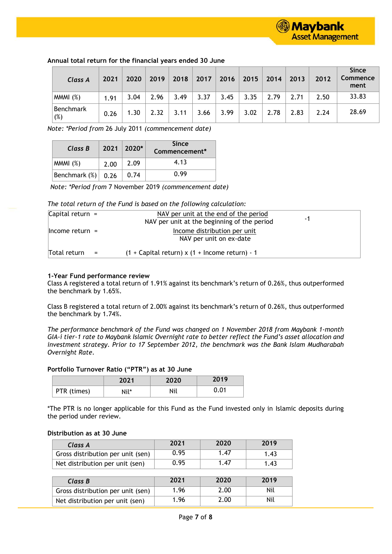| Class A          | 2021 | 2020 | 2019 | 2018 | 2017 | 2016 | 2015 | 2014 | 2013 | 2012 | <b>Since</b><br><b>Commence</b><br>ment |
|------------------|------|------|------|------|------|------|------|------|------|------|-----------------------------------------|
| MMM (%)          | 1.91 | 3.04 | 2.96 | 3.49 | 3.37 | 3.45 | 3.35 | 2.79 | 2.71 | 2.50 | 33.83                                   |
| Benchmark<br>(%) | 0.26 | 1.30 | 2.32 | 3.11 | 3.66 | 3.99 | 3.02 | 2.78 | 2.83 | 2.24 | 28.69                                   |

# **Annual total return for the financial years ended 30 June**

*Note: \*Period from* 26 July 2011 *(commencement date)*

| Class B          |      | $2021 \mid 2020^*$ | <b>Since</b><br>Commencement* |
|------------------|------|--------------------|-------------------------------|
| MMM (%)          | 2.00 | 2.09               | 4.13                          |
| Benchmark $(\%)$ | 0.26 | 0.74               | 0.99                          |

*Note: \*Period from* 7 November 2019 *(commencement date)*

## *The total return of the Fund is based on the following calculation:*

| Capital return $=$  |     | NAV per unit at the end of the period<br>NAV per unit at the beginning of the period | -1 |
|---------------------|-----|--------------------------------------------------------------------------------------|----|
| $l$ Income return = |     | Income distribution per unit<br>NAV per unit on ex-date                              |    |
| Total return        | $=$ | $(1 +$ Capital return) x $(1 +$ Income return) - 1                                   |    |

#### **1-Year Fund performance review**

Class A registered a total return of 1.91% against its benchmark's return of 0.26%, thus outperformed the benchmark by 1.65%.

Class B registered a total return of 2.00% against its benchmark's return of 0.26%, thus outperformed the benchmark by 1.74%.

*The performance benchmark of the Fund was changed on 1 November 2018 from Maybank 1-month GIA-i tier-1 rate to Maybank Islamic Overnight rate to better reflect the Fund's asset allocation and investment strategy. Prior to 17 September 2012, the benchmark was the Bank Islam Mudharabah Overnight Rate.*

# **Portfolio Turnover Ratio ("PTR") as at 30 June**

|             | 2021 | 2020 | 2019 |
|-------------|------|------|------|
| PTR (times) | Nil* | Nil  | 0.01 |

\*The PTR is no longer applicable for this Fund as the Fund invested only in Islamic deposits during the period under review*.*

# **Distribution as at 30 June**

| Class A                           | 2021 | 2020 | 2019 |
|-----------------------------------|------|------|------|
| Gross distribution per unit (sen) | 0.95 | 1.47 | 1.43 |
| Net distribution per unit (sen)   | 0.95 | 1.47 | 1.43 |
|                                   |      |      |      |
|                                   |      |      |      |
| Class B                           | 2021 | 2020 | 2019 |
| Gross distribution per unit (sen) | 1.96 | 2.00 | Nil  |